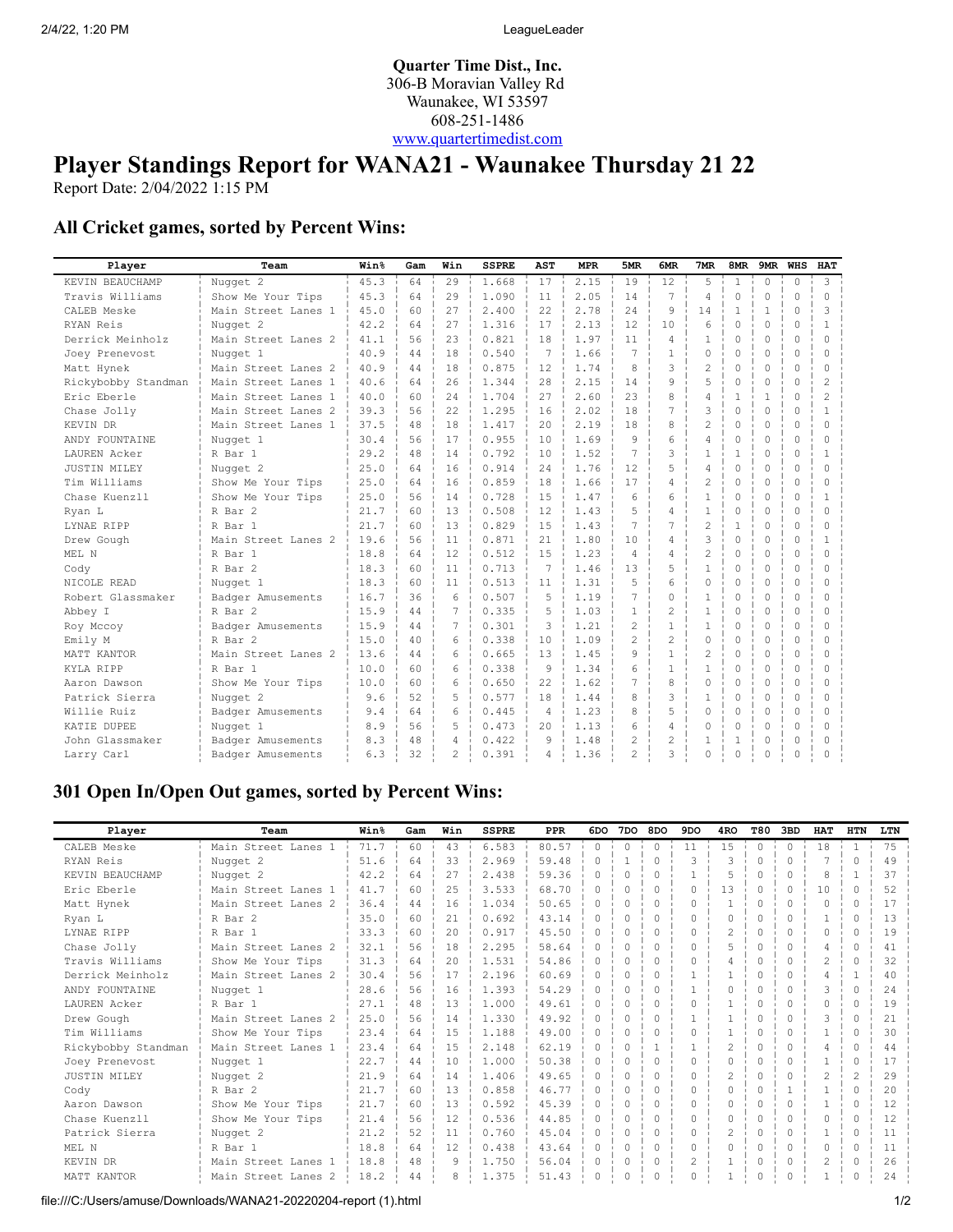**Quarter Time Dist., Inc.** 306-B Moravian Valley Rd Waunakee, WI 53597 608-251-1486 [www.quartertimedist.com](http://www.quartertimedist.com/)

## **Player Standings Report for WANA21 - Waunakee Thursday 21 22**

Report Date: 2/04/2022 1:15 PM

## **All Cricket games, sorted by Percent Wins:**

| Player              | Team                | Win <sup>8</sup> | Gam | Win | <b>SSPRE</b> | AST             | <b>MPR</b> | 5MR            | 6MR            | 7MR            | 8MR          |              | 9MR WHS     | <b>HAT</b>                                                                                                                                                                                                                                                                                                                                                                                                                 |
|---------------------|---------------------|------------------|-----|-----|--------------|-----------------|------------|----------------|----------------|----------------|--------------|--------------|-------------|----------------------------------------------------------------------------------------------------------------------------------------------------------------------------------------------------------------------------------------------------------------------------------------------------------------------------------------------------------------------------------------------------------------------------|
| KEVIN BEAUCHAMP     | Nugget 2            | 45.3             | 64  | 29  | 1.668        | 17              | 2.15       | 19             | 12             | 5              | $\mathbf{1}$ | $\Omega$     | $\Omega$    | 3                                                                                                                                                                                                                                                                                                                                                                                                                          |
| Travis Williams     | Show Me Your Tips   | 45.3             | 64  | 29  | 1.090        | 11              | 2.05       | 14             | $\overline{7}$ | $\overline{4}$ | $\circ$      | $\circ$      | $\Omega$    | $\bigcap$                                                                                                                                                                                                                                                                                                                                                                                                                  |
| CALEB Meske         | Main Street Lanes 1 | 45.0             | 60  | 27  | 2.400        | 22              | 2.78       | 2.4            | 9              | 14             | $\mathbf{1}$ | $\mathbf{1}$ | $\Omega$    | 3                                                                                                                                                                                                                                                                                                                                                                                                                          |
| RYAN Reis           | Nugget 2            | 42.2             | 64  | 27  | 1.316        | 17              | 2.13       | 12             | 10             | 6              | $\Omega$     | $\Omega$     | $\bigcap$   | $\mathbf{1}$                                                                                                                                                                                                                                                                                                                                                                                                               |
| Derrick Meinholz    | Main Street Lanes 2 | 41.1             | 56  | 23  | 0.821        | 18              | 1.97       | 11             | $\overline{4}$ | $\mathbf{1}$   | $\circ$      | 0            | $\Omega$    | $\Omega$                                                                                                                                                                                                                                                                                                                                                                                                                   |
| Joey Prenevost      | Nugget 1            | 40.9             | 44  | 18  | 0.540        | 7               | 1.66       | 7              | $\mathbf{1}$   | $\Omega$       | $\Omega$     | $\Omega$     | $\Omega$    | <sup>0</sup>                                                                                                                                                                                                                                                                                                                                                                                                               |
| Matt Hynek          | Main Street Lanes 2 | 40.9             | 44  | 18  | 0.875        | 12              | 1.74       | 8              | 3              | $\overline{c}$ | $\Omega$     | $\Omega$     | $\Omega$    | $\cap$                                                                                                                                                                                                                                                                                                                                                                                                                     |
| Rickybobby Standman | Main Street Lanes 1 | 40.6             | 64  | 26  | 1.344        | 28              | 2.15       | 14             | 9              | 5              | $\mathbf 0$  | $\Omega$     | $\Omega$    |                                                                                                                                                                                                                                                                                                                                                                                                                            |
| Eric Eberle         | Main Street Lanes 1 | 40.0             | 60  | 24  | 1.704        | 27              | 2.60       | 23             | 8              | $\overline{4}$ | $\mathbf{1}$ | $\mathbf{1}$ | $\Omega$    | $\mathfrak{D}_{1}^{2}(\mathfrak{D}_{1})=\mathfrak{D}_{2}^{2}(\mathfrak{D}_{2})=\mathfrak{D}_{2}^{2}(\mathfrak{D}_{1})=\mathfrak{D}_{2}^{2}(\mathfrak{D}_{2})=\mathfrak{D}_{2}^{2}(\mathfrak{D}_{1})=\mathfrak{D}_{2}^{2}(\mathfrak{D}_{1})=\mathfrak{D}_{2}^{2}(\mathfrak{D}_{1})=\mathfrak{D}_{2}^{2}(\mathfrak{D}_{2})=\mathfrak{D}_{2}^{2}(\mathfrak{D}_{1})=\mathfrak{D}_{2}^{2}(\mathfrak{D}_{1})=\mathfrak{D}_{2}^{$ |
| Chase Jolly         | Main Street Lanes 2 | 39.3             | 56  | 22  | 1.295        | 16              | 2.02       | 18             | 7              | 3              | $\Omega$     | $\Omega$     | $\bigcap$   |                                                                                                                                                                                                                                                                                                                                                                                                                            |
| KEVIN DR            | Main Street Lanes 1 | 37.5             | 48  | 18  | 1.417        | 20              | 2.19       | 18             | 8              | 2              | $\Omega$     | 0            | $\Omega$    | $\cap$                                                                                                                                                                                                                                                                                                                                                                                                                     |
| ANDY FOUNTAINE      | Nugget 1            | 30.4             | 56  | 17  | 0.955        | 10              | 1.69       | 9              | 6              | $\overline{4}$ | $\Omega$     | $\Omega$     | $\Omega$    | $\cap$                                                                                                                                                                                                                                                                                                                                                                                                                     |
| LAUREN Acker        | R Bar 1             | 29.2             | 48  | 14  | 0.792        | 10              | 1.52       | 7              | 3              | $\mathbf{1}$   | $\mathbf{1}$ | $\Omega$     | $\Omega$    |                                                                                                                                                                                                                                                                                                                                                                                                                            |
| <b>JUSTIN MILEY</b> | Nugget 2            | 25.0             | 64  | 16  | 0.914        | 24              | 1.76       | 12             | 5              | $\overline{4}$ | $\Omega$     | $\Omega$     | $\Omega$    | $\bigcap$                                                                                                                                                                                                                                                                                                                                                                                                                  |
| Tim Williams        | Show Me Your Tips   | 25.0             | 64  | 16  | 0.859        | 18              | 1.66       | 17             | 4              | 2              | $\Omega$     | $\Omega$     | $\Omega$    | $\cap$                                                                                                                                                                                                                                                                                                                                                                                                                     |
| Chase Kuenzll       | Show Me Your Tips   | 25.0             | 56  | 14  | 0.728        | 15              | 1.47       | 6              | 6              | $\mathbf{1}$   | $\circ$      | 0            | $\Omega$    |                                                                                                                                                                                                                                                                                                                                                                                                                            |
| Ryan L              | R Bar 2             | 21.7             | 60  | 13  | 0.508        | 12              | 1.43       | 5              | 4              | $\mathbf{1}$   | $\mathbf 0$  | 0            | $\mathbf 0$ |                                                                                                                                                                                                                                                                                                                                                                                                                            |
| LYNAE RIPP          | R Bar 1             | 21.7             | 60  | 13  | 0.829        | 15              | 1.43       | 7              | 7              | $\overline{c}$ | 1            | $\Omega$     | $\Omega$    | $\Omega$                                                                                                                                                                                                                                                                                                                                                                                                                   |
| Drew Gough          | Main Street Lanes 2 | 19.6             | 56  | 11  | 0.871        | 21              | 1.80       | 10             | 4              | 3              | $\Omega$     | 0            | 0           | Π.                                                                                                                                                                                                                                                                                                                                                                                                                         |
| MEL N               | R Bar 1             | 18.8             | 64  | 12  | 0.512        | 15              | 1.23       | $\overline{4}$ | 4              | 2              | $\Omega$     | $\Omega$     | $\Omega$    | $\bigcap$                                                                                                                                                                                                                                                                                                                                                                                                                  |
| Cody                | R Bar 2             | 18.3             | 60  | 11  | 0.713        | $7\phantom{.0}$ | 1.46       | 13             | 5              | $\mathbf{1}$   | $\Omega$     | $\Omega$     | $\Omega$    | $\cap$                                                                                                                                                                                                                                                                                                                                                                                                                     |
| NICOLE READ         | Nugget 1            | 18.3             | 60  | 11  | 0.513        | 11              | 1.31       | 5              | 6              | $\circ$        | $\Omega$     | $\Omega$     | $\Omega$    | $\bigcap$                                                                                                                                                                                                                                                                                                                                                                                                                  |
| Robert Glassmaker   | Badger Amusements   | 16.7             | 36  | 6   | 0.507        | 5               | 1.19       | 7              | $\Omega$       | $\mathbf{1}$   | $\Omega$     | $\Omega$     | $\Omega$    | $\cap$                                                                                                                                                                                                                                                                                                                                                                                                                     |
| Abbey I             | R Bar 2             | 15.9             | 44  | 7   | 0.335        | 5               | 1.03       | $\mathbf{1}$   | $\overline{c}$ | $\mathbf{1}$   | $\Omega$     | $\Omega$     | $\Omega$    | $\cap$                                                                                                                                                                                                                                                                                                                                                                                                                     |
| Roy Mccoy           | Badger Amusements   | 15.9             | 44  | 7   | 0.301        | 3               | 1.21       | $\overline{2}$ | $\mathbf{1}$   | $\mathbf{1}$   | $\Omega$     | $\Omega$     | $\Omega$    |                                                                                                                                                                                                                                                                                                                                                                                                                            |
| Emily M             | R Bar 2             | 15.0             | 40  | 6   | 0.338        | 10              | 1.09       | $\overline{2}$ | $\overline{c}$ | $\Omega$       | $\Omega$     | $\Omega$     | $\Omega$    |                                                                                                                                                                                                                                                                                                                                                                                                                            |
| MATT KANTOR         | Main Street Lanes 2 | 13.6             | 44  | 6   | 0.665        | 13              | 1.45       | 9              | $\mathbf{1}$   | 2              | $\Omega$     | 0            | $\Omega$    | <sup>0</sup>                                                                                                                                                                                                                                                                                                                                                                                                               |
| KYLA RIPP           | R Bar 1             | 10.0             | 60  | 6   | 0.338        | 9               | 1.34       | 6              | $\mathbf{1}$   | $\mathbf{1}$   | $\Omega$     | $\Omega$     | $\Omega$    | $\cap$                                                                                                                                                                                                                                                                                                                                                                                                                     |
| Aaron Dawson        | Show Me Your Tips   | 10.0             | 60  | 6   | 0.650        | 22              | 1.62       | 7              | 8              | $\Omega$       | $\Omega$     | $\Omega$     | $\Omega$    | $\Omega$                                                                                                                                                                                                                                                                                                                                                                                                                   |
| Patrick Sierra      | Nugget 2            | 9.6              | 52  | 5   | 0.577        | 18              | 1.44       | 8              | 3              | $\mathbf{1}$   | $\Omega$     | $\Omega$     | $\Omega$    | $\bigcap$                                                                                                                                                                                                                                                                                                                                                                                                                  |
| Willie Ruiz         | Badger Amusements   | 9.4              | 64  | 6   | 0.445        | $\overline{4}$  | 1.23       | 8              | 5              | $\Omega$       | $\Omega$     | $\Omega$     | $\Omega$    | $\cap$                                                                                                                                                                                                                                                                                                                                                                                                                     |
| KATIE DUPEE         | Nugget 1            | 8.9              | 56  | 5   | 0.473        | 2.0             | 1.13       | 6              | 4              | $\Omega$       | $\Omega$     | $\Omega$     | $\Omega$    | ∩                                                                                                                                                                                                                                                                                                                                                                                                                          |
| John Glassmaker     | Badger Amusements   | 8.3              | 48  | 4   | 0.422        | 9               | 1.48       | 2              | $\overline{c}$ | $\mathbf{1}$   | $\mathbf{1}$ | $\Omega$     | $\Omega$    |                                                                                                                                                                                                                                                                                                                                                                                                                            |
| Larry Carl          | Badger Amusements   | 6.3              | 32  | 2   | 0.391        | 4               | 1.36       | $\overline{c}$ | 3              | $\Omega$       | 0            | O            | $\Omega$    |                                                                                                                                                                                                                                                                                                                                                                                                                            |

## **301 Open In/Open Out games, sorted by Percent Wins:**

| Player              | Team                | Win <sup>8</sup> | Gam | Win | <b>SSPRE</b> | <b>PPR</b> | 6DO       | 7DO      | 8DO       | 9DO | 4 <sub>RO</sub>          | T80    | 3BD      | <b>HAT</b>     | <b>HTN</b>     | LTN               |
|---------------------|---------------------|------------------|-----|-----|--------------|------------|-----------|----------|-----------|-----|--------------------------|--------|----------|----------------|----------------|-------------------|
| CALEB Meske         | Main Street Lanes 1 | 71.7             | 60  | 43  | 6.583        | 80.57      | $\Omega$  | $\Omega$ | $\Omega$  | 11  | 15                       | $\cap$ | $\Omega$ | 18             | $\mathbf{1}$   | 75                |
| RYAN Reis           | Nugget 2            | 51.6             | 64  | 33  | 2.969        | 59.48      | $\bigcap$ |          | $\bigcap$ | 3   | 3                        | 0      | $\Omega$ |                | $\Omega$       | 49                |
| KEVIN BEAUCHAMP     | Nugget 2            | 42.2             | 64  | 27  | 2.438        | 59.36      | $\Omega$  | 0        | $\Omega$  |     | 5                        | O      | $\Omega$ | 8              | 1              | 37                |
| Eric Eberle         | Main Street Lanes 1 | 41.7             | 60  | 25  | 3.533        | 68.70      | $\Omega$  | 0        |           | 0   | 13                       |        | $\Omega$ | 10             | $\Omega$       | 52                |
| Matt Hynek          | Main Street Lanes 2 | 36.4             | 44  | 16  | 1.034        | 50.65      | $\bigcap$ |          |           | Ω   |                          | ∩      | 0        | $\Omega$       | $\Omega$       | 17                |
| Ryan L              | R Bar 2             | 35.0             | 60  | 21  | 0.692        | 43.14      | $\bigcap$ | 0        | $\bigcap$ | U   | $\Omega$                 |        | $\Omega$ |                | $\Omega$       | 1.3               |
| LYNAE RIPP          | R Bar 1             | 33.3             | 60  | 20  | 0.917        | 45.50      | $\bigcap$ | 0        |           | U   | $\overline{c}$           |        | $\Omega$ | $\Omega$       | $\Omega$       | 19                |
| Chase Jolly         | Main Street Lanes 2 | 32.1             | 56  | 18  | 2.295        | 58.64      | $\Omega$  | 0        | $\Omega$  | U   | 5                        | ∩      | $\Omega$ | 4              | $\mathbf{0}$   | 41                |
| Travis Williams     | Show Me Your Tips   | 31.3             | 64  | 20  | 1.531        | 54.86      |           | 0        |           |     | 4                        |        | 0        | 2              | $\Omega$       | 32                |
| Derrick Meinholz    | Main Street Lanes 2 | 30.4             | 56  | 17  | 2.196        | 60.69      | $\Omega$  | 0        | $\Omega$  |     |                          | n      | $\Omega$ | 4              |                | 40                |
| ANDY FOUNTAINE      | Nugget 1            | 28.6             | 56  | 16  | 1.393        | 54.29      | $\bigcap$ | 0        |           |     | 0                        | n      | $\Omega$ | 3              | $\Omega$       | 2.4               |
| LAUREN Acker        | R Bar 1             | 27.1             | 48  | 13  | 1,000        | 49.61      | $\bigcap$ |          |           | Ω   |                          |        | 0        | 0              | $\bigcap$      | 19                |
| Drew Gough          | Main Street Lanes 2 | 25.0             | 56  | 14  | 1.330        | 49.92      | $\bigcap$ | 0        |           |     |                          |        | 0        | 3              | $\Omega$       | 21                |
| Tim Williams        | Show Me Your Tips   | 23.4             | 64  | 1.5 | 1.188        | 49.00      | $\bigcap$ | 0        |           |     |                          |        | 0        |                | $\Omega$       | 30                |
| Rickybobby Standman | Main Street Lanes 1 | 23.4             | 64  | 15  | 2.148        | 62.19      | $\Omega$  | $\Omega$ |           |     | $\mathfrak{D}$           | ∩      | $\Omega$ | 4              | $\Omega$       | 44                |
| Joey Prenevost      | Nugget 1            | 22.7             | 44  | 10  | 1,000        | 50.38      | $\bigcap$ | 0        |           | Λ   | $\bigcap$                | ∩      | 0        |                | $\Omega$       | 17                |
| <b>JUSTIN MILEY</b> | Nugget 2            | 21.9             | 64  | 14  | 1.406        | 49.65      | $\Omega$  | 0        | $\Omega$  | U   | $\overline{\mathcal{L}}$ | ∩      | $\Omega$ | $\overline{2}$ | $\mathfrak{D}$ | 29                |
| Cody                | R Bar 2             | 21.7             | 60  | 13  | 0.858        | 46.77      | $\Omega$  | 0        | $\bigcap$ | U   | $\Omega$                 | n      |          |                | $\Omega$       | $20^{\circ}$      |
| Aaron Dawson        | Show Me Your Tips   | 21.7             | 60  | 13  | 0.592        | 45.39      | $\Omega$  |          |           | 0   | $\Omega$                 |        | $\Omega$ |                | $\Omega$       | $12 \overline{ }$ |
| Chase Kuenzll       | Show Me Your Tips   | 21.4             | 56  | 12  | 0.536        | 44.85      | $\bigcap$ |          |           | Ω   | $\Omega$                 |        | 0        | $\Omega$       | $\Omega$       | 12                |
| Patrick Sierra      | Nugget 2            | 21.2             | 52  | 11  | 0.760        | 45.04      | $\bigcap$ | 0        |           | U   | $\mathfrak{D}$           |        | $\Omega$ |                | $\Omega$       | 11                |
| MEL N               | R Bar 1             | 18.8             | 64  | 12  | 0.438        | 43.64      | $\Omega$  | 0        | $\Omega$  | 0   | $\Omega$                 | ∩      | $\Omega$ | 0              | $\Omega$       | 11                |
| KEVIN DR            | Main Street Lanes 1 | 18.8             | 48  | 9   | 1.750        | 56.04      | $\Omega$  | 0        | $\Omega$  | 2   |                          | n      | $\Omega$ | 2              | $\mathbf{0}$   | 26                |
| MATT KANTOR         | Main Street Lanes 2 | 18.2             | 44  | 8   | 1.375        | 51.43      |           |          |           |     |                          |        | 0        |                | 0              | 24                |

file:///C:/Users/amuse/Downloads/WANA21-20220204-report (1).html 1/2